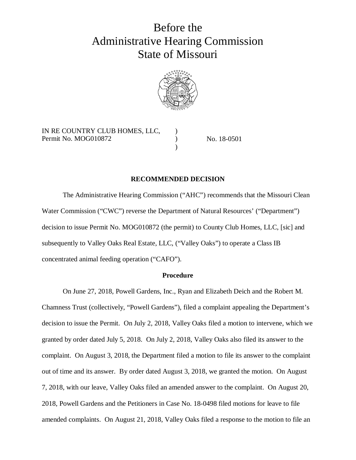# Before the Administrative Hearing Commission State of Missouri



) ) )

IN RE COUNTRY CLUB HOMES, LLC, Permit No. MOG010872

No. 18-0501

## **RECOMMENDED DECISION**

The Administrative Hearing Commission ("AHC") recommends that the Missouri Clean Water Commission ("CWC") reverse the Department of Natural Resources' ("Department") decision to issue Permit No. MOG010872 (the permit) to County Club Homes, LLC, [sic] and subsequently to Valley Oaks Real Estate, LLC, ("Valley Oaks") to operate a Class IB concentrated animal feeding operation ("CAFO").

## **Procedure**

On June 27, 2018, Powell Gardens, Inc., Ryan and Elizabeth Deich and the Robert M. Chamness Trust (collectively, "Powell Gardens"), filed a complaint appealing the Department's decision to issue the Permit. On July 2, 2018, Valley Oaks filed a motion to intervene, which we granted by order dated July 5, 2018. On July 2, 2018, Valley Oaks also filed its answer to the complaint. On August 3, 2018, the Department filed a motion to file its answer to the complaint out of time and its answer. By order dated August 3, 2018, we granted the motion. On August 7, 2018, with our leave, Valley Oaks filed an amended answer to the complaint. On August 20, 2018, Powell Gardens and the Petitioners in Case No. 18-0498 filed motions for leave to file amended complaints. On August 21, 2018, Valley Oaks filed a response to the motion to file an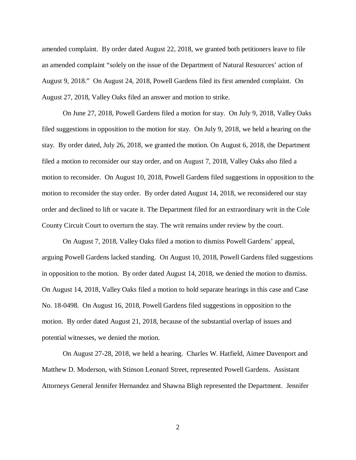amended complaint. By order dated August 22, 2018, we granted both petitioners leave to file an amended complaint "solely on the issue of the Department of Natural Resources' action of August 9, 2018." On August 24, 2018, Powell Gardens filed its first amended complaint. On August 27, 2018, Valley Oaks filed an answer and motion to strike.

On June 27, 2018, Powell Gardens filed a motion for stay. On July 9, 2018, Valley Oaks filed suggestions in opposition to the motion for stay. On July 9, 2018, we held a hearing on the stay. By order dated, July 26, 2018, we granted the motion. On August 6, 2018, the Department filed a motion to reconsider our stay order, and on August 7, 2018, Valley Oaks also filed a motion to reconsider. On August 10, 2018, Powell Gardens filed suggestions in opposition to the motion to reconsider the stay order. By order dated August 14, 2018, we reconsidered our stay order and declined to lift or vacate it. The Department filed for an extraordinary writ in the Cole County Circuit Court to overturn the stay. The writ remains under review by the court.

On August 7, 2018, Valley Oaks filed a motion to dismiss Powell Gardens' appeal, arguing Powell Gardens lacked standing. On August 10, 2018, Powell Gardens filed suggestions in opposition to the motion. By order dated August 14, 2018, we denied the motion to dismiss. On August 14, 2018, Valley Oaks filed a motion to hold separate hearings in this case and Case No. 18-0498. On August 16, 2018, Powell Gardens filed suggestions in opposition to the motion. By order dated August 21, 2018, because of the substantial overlap of issues and potential witnesses, we denied the motion.

On August 27-28, 2018, we held a hearing. Charles W. Hatfield, Aimee Davenport and Matthew D. Moderson, with Stinson Leonard Street, represented Powell Gardens. Assistant Attorneys General Jennifer Hernandez and Shawna Bligh represented the Department. Jennifer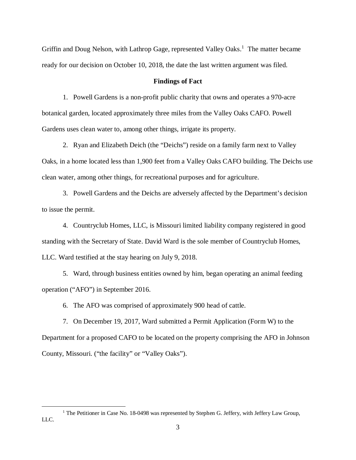Griffin and Doug Nelson, with Lathrop Gage, represented Valley Oaks.<sup>1</sup> The matter became ready for our decision on October 10, 2018, the date the last written argument was filed.

#### **Findings of Fact**

1. Powell Gardens is a non-profit public charity that owns and operates a 970-acre botanical garden, located approximately three miles from the Valley Oaks CAFO. Powell Gardens uses clean water to, among other things, irrigate its property.

2. Ryan and Elizabeth Deich (the "Deichs") reside on a family farm next to Valley Oaks, in a home located less than 1,900 feet from a Valley Oaks CAFO building. The Deichs use clean water, among other things, for recreational purposes and for agriculture.

3. Powell Gardens and the Deichs are adversely affected by the Department's decision to issue the permit.

4. Countryclub Homes, LLC, is Missouri limited liability company registered in good standing with the Secretary of State. David Ward is the sole member of Countryclub Homes, LLC. Ward testified at the stay hearing on July 9, 2018.

5. Ward, through business entities owned by him, began operating an animal feeding operation ("AFO") in September 2016.

6. The AFO was comprised of approximately 900 head of cattle.

7. On December 19, 2017, Ward submitted a Permit Application (Form W) to the Department for a proposed CAFO to be located on the property comprising the AFO in Johnson County, Missouri. ("the facility" or "Valley Oaks").

<sup>&</sup>lt;sup>1</sup> The Petitioner in Case No. 18-0498 was represented by Stephen G. Jeffery, with Jeffery Law Group, LLC.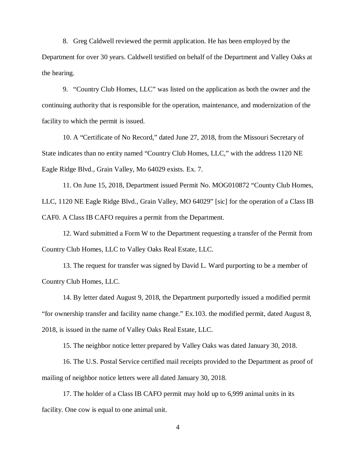8. Greg Caldwell reviewed the permit application. He has been employed by the Department for over 30 years. Caldwell testified on behalf of the Department and Valley Oaks at the hearing.

9. "Country Club Homes, LLC" was listed on the application as both the owner and the continuing authority that is responsible for the operation, maintenance, and modernization of the facility to which the permit is issued.

10. A "Certificate of No Record," dated June 27, 2018, from the Missouri Secretary of State indicates than no entity named "Country Club Homes, LLC," with the address 1120 NE Eagle Ridge Blvd., Grain Valley, Mo 64029 exists. Ex. 7.

11. On June 15, 2018, Department issued Permit No. MOG010872 "County Club Homes, LLC, 1120 NE Eagle Ridge Blvd., Grain Valley, MO 64029" [sic] for the operation of a Class IB CAF0. A Class IB CAFO requires a permit from the Department.

12. Ward submitted a Form W to the Department requesting a transfer of the Permit from Country Club Homes, LLC to Valley Oaks Real Estate, LLC.

13. The request for transfer was signed by David L. Ward purporting to be a member of Country Club Homes, LLC.

14. By letter dated August 9, 2018, the Department purportedly issued a modified permit "for ownership transfer and facility name change." Ex.103. the modified permit, dated August 8, 2018, is issued in the name of Valley Oaks Real Estate, LLC.

15. The neighbor notice letter prepared by Valley Oaks was dated January 30, 2018.

16. The U.S. Postal Service certified mail receipts provided to the Department as proof of mailing of neighbor notice letters were all dated January 30, 2018.

17. The holder of a Class IB CAFO permit may hold up to 6,999 animal units in its facility. One cow is equal to one animal unit.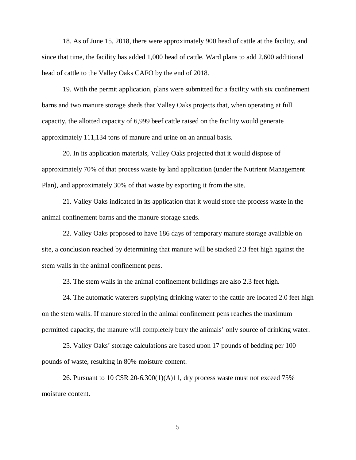18. As of June 15, 2018, there were approximately 900 head of cattle at the facility, and since that time, the facility has added 1,000 head of cattle. Ward plans to add 2,600 additional head of cattle to the Valley Oaks CAFO by the end of 2018.

19. With the permit application, plans were submitted for a facility with six confinement barns and two manure storage sheds that Valley Oaks projects that, when operating at full capacity, the allotted capacity of 6,999 beef cattle raised on the facility would generate approximately 111,134 tons of manure and urine on an annual basis.

20. In its application materials, Valley Oaks projected that it would dispose of approximately 70% of that process waste by land application (under the Nutrient Management Plan), and approximately 30% of that waste by exporting it from the site.

21. Valley Oaks indicated in its application that it would store the process waste in the animal confinement barns and the manure storage sheds.

22. Valley Oaks proposed to have 186 days of temporary manure storage available on site, a conclusion reached by determining that manure will be stacked 2.3 feet high against the stem walls in the animal confinement pens.

23. The stem walls in the animal confinement buildings are also 2.3 feet high.

24. The automatic waterers supplying drinking water to the cattle are located 2.0 feet high on the stem walls. If manure stored in the animal confinement pens reaches the maximum permitted capacity, the manure will completely bury the animals' only source of drinking water.

25. Valley Oaks' storage calculations are based upon 17 pounds of bedding per 100 pounds of waste, resulting in 80% moisture content.

26. Pursuant to 10 CSR 20-6.300(1)(A)11, dry process waste must not exceed  $75\%$ moisture content.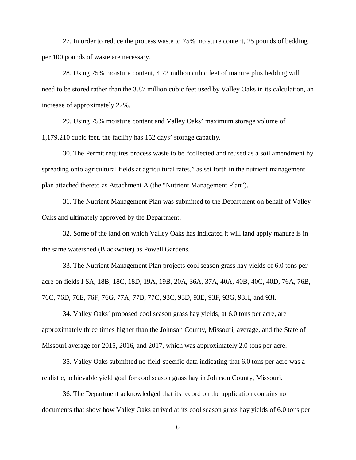27. In order to reduce the process waste to 75% moisture content, 25 pounds of bedding per 100 pounds of waste are necessary.

28. Using 75% moisture content, 4.72 million cubic feet of manure plus bedding will need to be stored rather than the 3.87 million cubic feet used by Valley Oaks in its calculation, an increase of approximately 22%.

29. Using 75% moisture content and Valley Oaks' maximum storage volume of 1,179,210 cubic feet, the facility has 152 days' storage capacity.

30. The Permit requires process waste to be "collected and reused as a soil amendment by spreading onto agricultural fields at agricultural rates," as set forth in the nutrient management plan attached thereto as Attachment A (the "Nutrient Management Plan").

31. The Nutrient Management Plan was submitted to the Department on behalf of Valley Oaks and ultimately approved by the Department.

32. Some of the land on which Valley Oaks has indicated it will land apply manure is in the same watershed (Blackwater) as Powell Gardens.

33. The Nutrient Management Plan projects cool season grass hay yields of 6.0 tons per acre on fields I SA, 18B, 18C, 18D, 19A, 19B, 20A, 36A, 37A, 40A, 40B, 40C, 40D, 76A, 76B, 76C, 76D, 76E, 76F, 76G, 77A, 77B, 77C, 93C, 93D, 93E, 93F, 93G, 93H, and 93I.

34. Valley Oaks' proposed cool season grass hay yields, at 6.0 tons per acre, are approximately three times higher than the Johnson County, Missouri, average, and the State of Missouri average for 2015, 2016, and 2017, which was approximately 2.0 tons per acre.

35. Valley Oaks submitted no field-specific data indicating that 6.0 tons per acre was a realistic, achievable yield goal for cool season grass hay in Johnson County, Missouri.

36. The Department acknowledged that its record on the application contains no documents that show how Valley Oaks arrived at its cool season grass hay yields of 6.0 tons per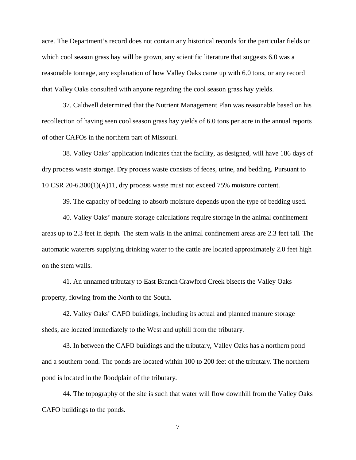acre. The Department's record does not contain any historical records for the particular fields on which cool season grass hay will be grown, any scientific literature that suggests 6.0 was a reasonable tonnage, any explanation of how Valley Oaks came up with 6.0 tons, or any record that Valley Oaks consulted with anyone regarding the cool season grass hay yields.

37. Caldwell determined that the Nutrient Management Plan was reasonable based on his recollection of having seen cool season grass hay yields of 6.0 tons per acre in the annual reports of other CAFOs in the northern part of Missouri.

38. Valley Oaks' application indicates that the facility, as designed, will have 186 days of dry process waste storage. Dry process waste consists of feces, urine, and bedding. Pursuant to 10 CSR 20-6.300(1)(A)11, dry process waste must not exceed 75% moisture content.

39. The capacity of bedding to absorb moisture depends upon the type of bedding used.

40. Valley Oaks' manure storage calculations require storage in the animal confinement areas up to 2.3 feet in depth. The stem walls in the animal confinement areas are 2.3 feet tall. The automatic waterers supplying drinking water to the cattle are located approximately 2.0 feet high on the stem walls.

41. An unnamed tributary to East Branch Crawford Creek bisects the Valley Oaks property, flowing from the North to the South.

42. Valley Oaks' CAFO buildings, including its actual and planned manure storage sheds, are located immediately to the West and uphill from the tributary.

43. In between the CAFO buildings and the tributary, Valley Oaks has a northern pond and a southern pond. The ponds are located within 100 to 200 feet of the tributary. The northern pond is located in the floodplain of the tributary.

44. The topography of the site is such that water will flow downhill from the Valley Oaks CAFO buildings to the ponds.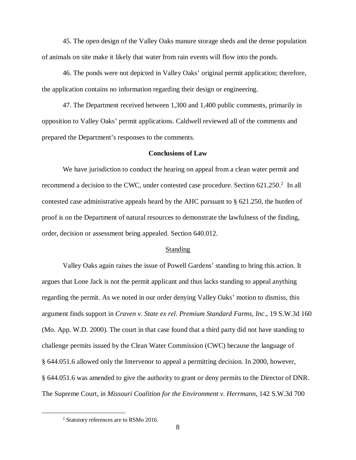45. The open design of the Valley Oaks manure storage sheds and the dense population of animals on site make it likely that water from rain events will flow into the ponds.

46. The ponds were not depicted in Valley Oaks' original permit application; therefore, the application contains no information regarding their design or engineering.

47. The Department received between 1,300 and 1,400 public comments, primarily in opposition to Valley Oaks' permit applications. Caldwell reviewed all of the comments and prepared the Department's responses to the comments.

#### **Conclusions of Law**

We have jurisdiction to conduct the hearing on appeal from a clean water permit and recommend a decision to the CWC, under contested case procedure. Section 621.250.<sup>2</sup> In all contested case administrative appeals heard by the AHC pursuant to § 621.250, the burden of proof is on the Department of natural resources to demonstrate the lawfulness of the finding, order, decision or assessment being appealed. Section 640.012.

#### Standing

Valley Oaks again raises the issue of Powell Gardens' standing to bring this action. It argues that Lone Jack is not the permit applicant and thus lacks standing to appeal anything regarding the permit. As we noted in our order denying Valley Oaks' motion to dismiss, this argument finds support in *Craven v. State ex rel. Premium Standard Farms, Inc*., 19 S.W.3d 160 (Mo. App. W.D. 2000). The court in that case found that a third party did not have standing to challenge permits issued by the Clean Water Commission (CWC) because the language of § 644.051.6 allowed only the Intervenor to appeal a permitting decision. In 2000, however, § 644.051.6 was amended to give the authority to grant or deny permits to the Director of DNR. The Supreme Court, in *Missouri Coalition for the Environment v. Herrmann*, 142 S.W.3d 700

<sup>&</sup>lt;sup>2</sup> Statutory references are to RSMo 2016.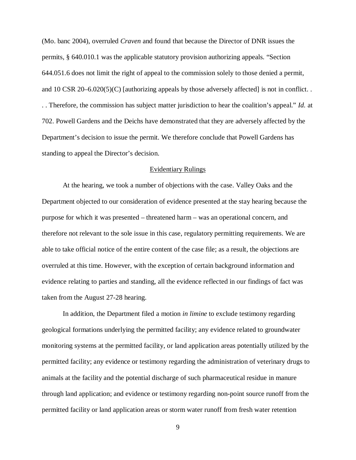(Mo. banc 2004), overruled *Craven* and found that because the Director of DNR issues the permits, § 640.010.1 was the applicable statutory provision authorizing appeals. "Section 644.051.6 does not limit the right of appeal to the commission solely to those denied a permit, and 10 CSR 20–6.020(5)(C) [authorizing appeals by those adversely affected] is not in conflict. . . . Therefore, the commission has subject matter jurisdiction to hear the coalition's appeal." *Id.* at 702. Powell Gardens and the Deichs have demonstrated that they are adversely affected by the Department's decision to issue the permit. We therefore conclude that Powell Gardens has standing to appeal the Director's decision.

## Evidentiary Rulings

At the hearing, we took a number of objections with the case. Valley Oaks and the Department objected to our consideration of evidence presented at the stay hearing because the purpose for which it was presented – threatened harm – was an operational concern, and therefore not relevant to the sole issue in this case, regulatory permitting requirements. We are able to take official notice of the entire content of the case file; as a result, the objections are overruled at this time. However, with the exception of certain background information and evidence relating to parties and standing, all the evidence reflected in our findings of fact was taken from the August 27-28 hearing.

In addition, the Department filed a motion *in limine* to exclude testimony regarding geological formations underlying the permitted facility; any evidence related to groundwater monitoring systems at the permitted facility, or land application areas potentially utilized by the permitted facility; any evidence or testimony regarding the administration of veterinary drugs to animals at the facility and the potential discharge of such pharmaceutical residue in manure through land application; and evidence or testimony regarding non-point source runoff from the permitted facility or land application areas or storm water runoff from fresh water retention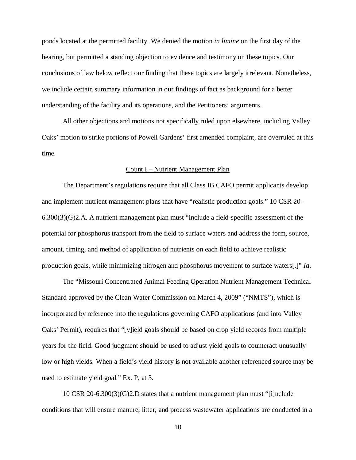ponds located at the permitted facility. We denied the motion *in limine* on the first day of the hearing, but permitted a standing objection to evidence and testimony on these topics. Our conclusions of law below reflect our finding that these topics are largely irrelevant. Nonetheless, we include certain summary information in our findings of fact as background for a better understanding of the facility and its operations, and the Petitioners' arguments.

All other objections and motions not specifically ruled upon elsewhere, including Valley Oaks' motion to strike portions of Powell Gardens' first amended complaint, are overruled at this time.

# Count I – Nutrient Management Plan

The Department's regulations require that all Class IB CAFO permit applicants develop and implement nutrient management plans that have "realistic production goals." 10 CSR 20- 6.300(3)(G)2.A. A nutrient management plan must "include a field-specific assessment of the potential for phosphorus transport from the field to surface waters and address the form, source, amount, timing, and method of application of nutrients on each field to achieve realistic production goals, while minimizing nitrogen and phosphorus movement to surface waters[.]" *Id*.

The "Missouri Concentrated Animal Feeding Operation Nutrient Management Technical Standard approved by the Clean Water Commission on March 4, 2009" ("NMTS"), which is incorporated by reference into the regulations governing CAFO applications (and into Valley Oaks' Permit), requires that "[y]ield goals should be based on crop yield records from multiple years for the field. Good judgment should be used to adjust yield goals to counteract unusually low or high yields. When a field's yield history is not available another referenced source may be used to estimate yield goal." Ex. P, at 3.

10 CSR 20-6.300(3)(G)2.D states that a nutrient management plan must "[i]nclude conditions that will ensure manure, litter, and process wastewater applications are conducted in a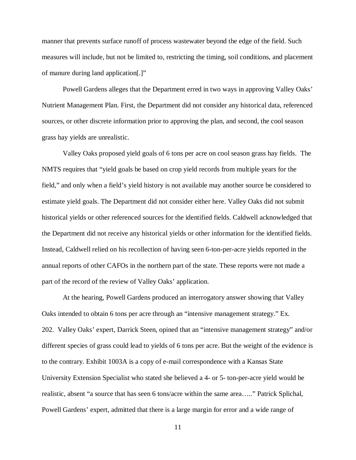manner that prevents surface runoff of process wastewater beyond the edge of the field. Such measures will include, but not be limited to, restricting the timing, soil conditions, and placement of manure during land application[.]"

Powell Gardens alleges that the Department erred in two ways in approving Valley Oaks' Nutrient Management Plan. First, the Department did not consider any historical data, referenced sources, or other discrete information prior to approving the plan, and second, the cool season grass hay yields are unrealistic.

Valley Oaks proposed yield goals of 6 tons per acre on cool season grass hay fields. The NMTS requires that "yield goals be based on crop yield records from multiple years for the field," and only when a field's yield history is not available may another source be considered to estimate yield goals. The Department did not consider either here. Valley Oaks did not submit historical yields or other referenced sources for the identified fields. Caldwell acknowledged that the Department did not receive any historical yields or other information for the identified fields. Instead, Caldwell relied on his recollection of having seen 6-ton-per-acre yields reported in the annual reports of other CAFOs in the northern part of the state. These reports were not made a part of the record of the review of Valley Oaks' application.

At the hearing, Powell Gardens produced an interrogatory answer showing that Valley Oaks intended to obtain 6 tons per acre through an "intensive management strategy." Ex. 202. Valley Oaks' expert, Darrick Steen, opined that an "intensive management strategy" and/or different species of grass could lead to yields of 6 tons per acre. But the weight of the evidence is to the contrary. Exhibit 1003A is a copy of e-mail correspondence with a Kansas State University Extension Specialist who stated she believed a 4- or 5- ton-per-acre yield would be realistic, absent "a source that has seen 6 tons/acre within the same area….." Patrick Splichal, Powell Gardens' expert, admitted that there is a large margin for error and a wide range of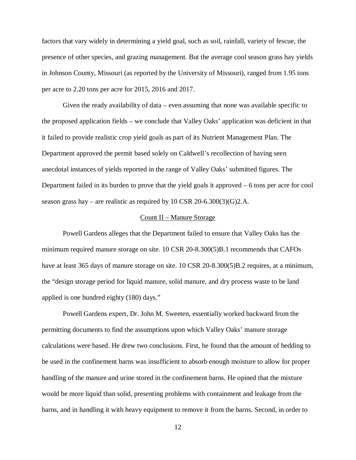factors that vary widely in determining a yield goal, such as soil, rainfall, variety of fescue, the presence of other species, and grazing management. But the average cool season grass hay yields in Johnson County, Missouri (as reported by the University of Missouri), ranged from 1.95 tons per acre to 2.20 tons per acre for 2015, 2016 and 2017.

Given the ready availability of data – even assuming that none was available specific to the proposed application fields – we conclude that Valley Oaks' application was deficient in that it failed to provide realistic crop yield goals as part of its Nutrient Management Plan. The Department approved the permit based solely on Caldwell's recollection of having seen anecdotal instances of yields reported in the range of Valley Oaks' submitted figures. The Department failed in its burden to prove that the yield goals it approved – 6 tons per acre for cool season grass hay – are realistic as required by 10 CSR 20-6.300(3)(G)2.A.

## Count II – Manure Storage

Powell Gardens alleges that the Department failed to ensure that Valley Oaks has the minimum required manure storage on site. 10 CSR 20-8.300(5)B.1 recommends that CAFOs have at least 365 days of manure storage on site. 10 CSR 20-8.300(5)B.2 requires, at a minimum, the "design storage period for liquid manure, solid manure, and dry process waste to be land applied is one hundred eighty (180) days."

Powell Gardens expert, Dr. John M. Sweeten, essentially worked backward from the permitting documents to find the assumptions upon which Valley Oaks' manure storage calculations were based. He drew two conclusions. First, he found that the amount of bedding to be used in the confinement barns was insufficient to absorb enough moisture to allow for proper handling of the manure and urine stored in the confinement barns. He opined that the mixture would be more liquid than solid, presenting problems with containment and leakage from the barns, and in handling it with heavy equipment to remove it from the barns. Second, in order to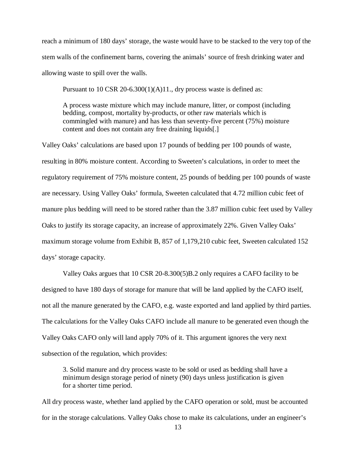reach a minimum of 180 days' storage, the waste would have to be stacked to the very top of the stem walls of the confinement barns, covering the animals' source of fresh drinking water and allowing waste to spill over the walls.

Pursuant to  $10 \text{ CSR } 20-6.300(1)(A)11$ ., dry process waste is defined as:

A process waste mixture which may include manure, litter, or compost (including bedding, compost, mortality by-products, or other raw materials which is commingled with manure) and has less than seventy-five percent (75%) moisture content and does not contain any free draining liquids[.]

Valley Oaks' calculations are based upon 17 pounds of bedding per 100 pounds of waste, resulting in 80% moisture content. According to Sweeten's calculations, in order to meet the regulatory requirement of 75% moisture content, 25 pounds of bedding per 100 pounds of waste are necessary. Using Valley Oaks' formula, Sweeten calculated that 4.72 million cubic feet of manure plus bedding will need to be stored rather than the 3.87 million cubic feet used by Valley Oaks to justify its storage capacity, an increase of approximately 22%. Given Valley Oaks' maximum storage volume from Exhibit B, 857 of 1,179,210 cubic feet, Sweeten calculated 152 days' storage capacity.

Valley Oaks argues that 10 CSR 20-8.300(5)B.2 only requires a CAFO facility to be designed to have 180 days of storage for manure that will be land applied by the CAFO itself, not all the manure generated by the CAFO, e.g. waste exported and land applied by third parties. The calculations for the Valley Oaks CAFO include all manure to be generated even though the Valley Oaks CAFO only will land apply 70% of it. This argument ignores the very next subsection of the regulation, which provides:

3. Solid manure and dry process waste to be sold or used as bedding shall have a minimum design storage period of ninety (90) days unless justification is given for a shorter time period.

All dry process waste, whether land applied by the CAFO operation or sold, must be accounted for in the storage calculations. Valley Oaks chose to make its calculations, under an engineer's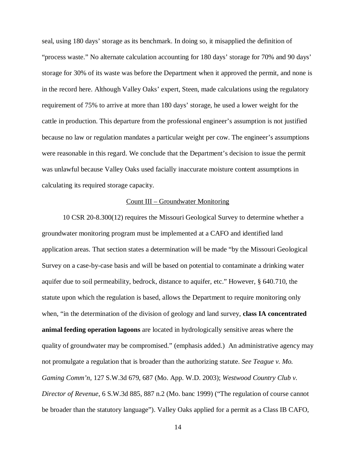seal, using 180 days' storage as its benchmark. In doing so, it misapplied the definition of "process waste." No alternate calculation accounting for 180 days' storage for 70% and 90 days' storage for 30% of its waste was before the Department when it approved the permit, and none is in the record here. Although Valley Oaks' expert, Steen, made calculations using the regulatory requirement of 75% to arrive at more than 180 days' storage, he used a lower weight for the cattle in production. This departure from the professional engineer's assumption is not justified because no law or regulation mandates a particular weight per cow. The engineer's assumptions were reasonable in this regard. We conclude that the Department's decision to issue the permit was unlawful because Valley Oaks used facially inaccurate moisture content assumptions in calculating its required storage capacity.

# Count III – Groundwater Monitoring

10 CSR 20-8.300(12) requires the Missouri Geological Survey to determine whether a groundwater monitoring program must be implemented at a CAFO and identified land application areas. That section states a determination will be made "by the Missouri Geological Survey on a case-by-case basis and will be based on potential to contaminate a drinking water aquifer due to soil permeability, bedrock, distance to aquifer, etc." However, § 640.710, the statute upon which the regulation is based, allows the Department to require monitoring only when, "in the determination of the division of geology and land survey, **class IA concentrated animal feeding operation lagoons** are located in hydrologically sensitive areas where the quality of groundwater may be compromised." (emphasis added.) An administrative agency may not promulgate a regulation that is broader than the authorizing statute. *See Teague v. Mo. Gaming Comm'n,* 127 S.W.3d 679, 687 (Mo. App. W.D. 2003); *Westwood Country Club v. Director of Revenue*, 6 S.W.3d 885, 887 n.2 (Mo. banc 1999) ("The regulation of course cannot be broader than the statutory language"). Valley Oaks applied for a permit as a Class IB CAFO,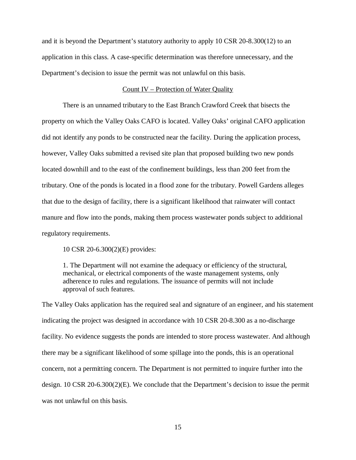and it is beyond the Department's statutory authority to apply 10 CSR 20-8.300(12) to an application in this class. A case-specific determination was therefore unnecessary, and the Department's decision to issue the permit was not unlawful on this basis.

# Count IV – Protection of Water Quality

There is an unnamed tributary to the East Branch Crawford Creek that bisects the property on which the Valley Oaks CAFO is located. Valley Oaks' original CAFO application did not identify any ponds to be constructed near the facility. During the application process, however, Valley Oaks submitted a revised site plan that proposed building two new ponds located downhill and to the east of the confinement buildings, less than 200 feet from the tributary. One of the ponds is located in a flood zone for the tributary. Powell Gardens alleges that due to the design of facility, there is a significant likelihood that rainwater will contact manure and flow into the ponds, making them process wastewater ponds subject to additional regulatory requirements.

10 CSR 20-6.300(2)(E) provides:

1. The Department will not examine the adequacy or efficiency of the structural, mechanical, or electrical components of the waste management systems, only adherence to rules and regulations. The issuance of permits will not include approval of such features.

The Valley Oaks application has the required seal and signature of an engineer, and his statement indicating the project was designed in accordance with 10 CSR 20-8.300 as a no-discharge facility. No evidence suggests the ponds are intended to store process wastewater. And although there may be a significant likelihood of some spillage into the ponds, this is an operational concern, not a permitting concern. The Department is not permitted to inquire further into the design. 10 CSR 20-6.300(2)(E). We conclude that the Department's decision to issue the permit was not unlawful on this basis.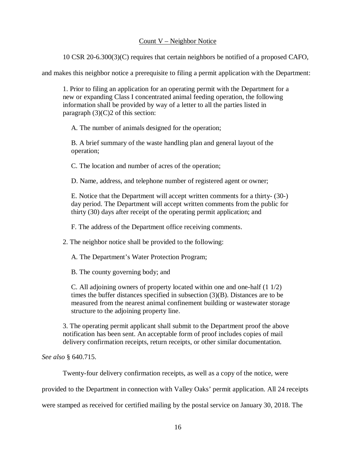# Count V – Neighbor Notice

10 CSR 20-6.300(3)(C) requires that certain neighbors be notified of a proposed CAFO,

and makes this neighbor notice a prerequisite to filing a permit application with the Department:

1. Prior to filing an application for an operating permit with the Department for a new or expanding Class I concentrated animal feeding operation, the following information shall be provided by way of a letter to all the parties listed in paragraph  $(3)(C)2$  of this section:

A. The number of animals designed for the operation;

B. A brief summary of the waste handling plan and general layout of the operation;

C. The location and number of acres of the operation;

D. Name, address, and telephone number of registered agent or owner;

E. Notice that the Department will accept written comments for a thirty- (30-) day period. The Department will accept written comments from the public for thirty (30) days after receipt of the operating permit application; and

F. The address of the Department office receiving comments.

2. The neighbor notice shall be provided to the following:

A. The Department's Water Protection Program;

B. The county governing body; and

C. All adjoining owners of property located within one and one-half (1 1/2) times the buffer distances specified in subsection (3)(B). Distances are to be measured from the nearest animal confinement building or wastewater storage structure to the adjoining property line.

3. The operating permit applicant shall submit to the Department proof the above notification has been sent. An acceptable form of proof includes copies of mail delivery confirmation receipts, return receipts, or other similar documentation.

*See also* § 640.715.

Twenty-four delivery confirmation receipts, as well as a copy of the notice, were

provided to the Department in connection with Valley Oaks' permit application. All 24 receipts

were stamped as received for certified mailing by the postal service on January 30, 2018. The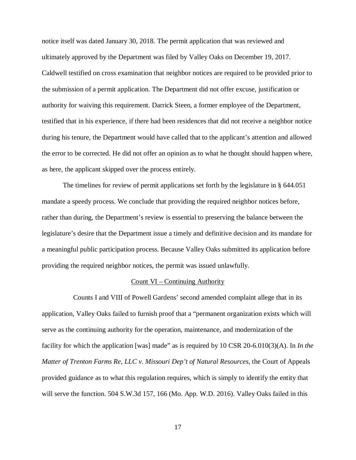notice itself was dated January 30, 2018. The permit application that was reviewed and ultimately approved by the Department was filed by Valley Oaks on December 19, 2017. Caldwell testified on cross examination that neighbor notices are required to be provided prior to the submission of a permit application. The Department did not offer excuse, justification or authority for waiving this requirement. Darrick Steen, a former employee of the Department, testified that in his experience, if there had been residences that did not receive a neighbor notice during his tenure, the Department would have called that to the applicant's attention and allowed the error to be corrected. He did not offer an opinion as to what he thought should happen where, as here, the applicant skipped over the process entirely.

The timelines for review of permit applications set forth by the legislature in § 644.051 mandate a speedy process. We conclude that providing the required neighbor notices before, rather than during, the Department's review is essential to preserving the balance between the legislature's desire that the Department issue a timely and definitive decision and its mandate for a meaningful public participation process. Because Valley Oaks submitted its application before providing the required neighbor notices, the permit was issued unlawfully.

#### Count VI – Continuing Authority

 Counts I and VIII of Powell Gardens' second amended complaint allege that in its application, Valley Oaks failed to furnish proof that a "permanent organization exists which will serve as the continuing authority for the operation, maintenance, and modernization of the facility for which the application [was] made" as is required by 10 CSR 20-6.010(3)(A). In *In the Matter of Trenton Farms Re, LLC v. Missouri Dep't of Natural Resources*, the Court of Appeals provided guidance as to what this regulation requires, which is simply to identify the entity that will serve the function. 504 S.W.3d 157, 166 (Mo. App. W.D. 2016). Valley Oaks failed in this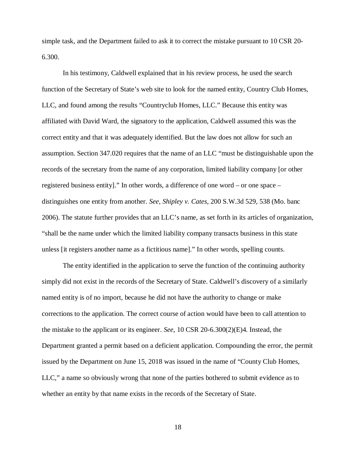simple task, and the Department failed to ask it to correct the mistake pursuant to 10 CSR 20- 6.300.

In his testimony, Caldwell explained that in his review process, he used the search function of the Secretary of State's web site to look for the named entity, Country Club Homes, LLC, and found among the results "Countryclub Homes, LLC." Because this entity was affiliated with David Ward, the signatory to the application, Caldwell assumed this was the correct entity and that it was adequately identified. But the law does not allow for such an assumption. Section 347.020 requires that the name of an LLC "must be distinguishable upon the records of the secretary from the name of any corporation, limited liability company [or other registered business entity]." In other words, a difference of one word – or one space – distinguishes one entity from another. *See, Shipley v. Cates*, 200 S.W.3d 529, 538 (Mo. banc 2006). The statute further provides that an LLC's name, as set forth in its articles of organization, "shall be the name under which the limited liability company transacts business in this state unless [it registers another name as a fictitious name]." In other words, spelling counts.

The entity identified in the application to serve the function of the continuing authority simply did not exist in the records of the Secretary of State. Caldwell's discovery of a similarly named entity is of no import, because he did not have the authority to change or make corrections to the application. The correct course of action would have been to call attention to the mistake to the applicant or its engineer. *See*, 10 CSR 20-6.300(2)(E)4. Instead, the Department granted a permit based on a deficient application. Compounding the error, the permit issued by the Department on June 15, 2018 was issued in the name of "County Club Homes, LLC," a name so obviously wrong that none of the parties bothered to submit evidence as to whether an entity by that name exists in the records of the Secretary of State.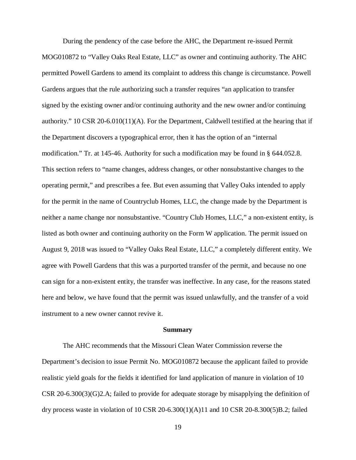During the pendency of the case before the AHC, the Department re-issued Permit MOG010872 to "Valley Oaks Real Estate, LLC" as owner and continuing authority. The AHC permitted Powell Gardens to amend its complaint to address this change is circumstance. Powell Gardens argues that the rule authorizing such a transfer requires "an application to transfer signed by the existing owner and/or continuing authority and the new owner and/or continuing authority." 10 CSR 20-6.010(11)(A). For the Department, Caldwell testified at the hearing that if the Department discovers a typographical error, then it has the option of an "internal modification." Tr. at 145-46. Authority for such a modification may be found in § 644.052.8. This section refers to "name changes, address changes, or other nonsubstantive changes to the operating permit," and prescribes a fee. But even assuming that Valley Oaks intended to apply for the permit in the name of Countryclub Homes, LLC, the change made by the Department is neither a name change nor nonsubstantive. "Country Club Homes, LLC," a non-existent entity, is listed as both owner and continuing authority on the Form W application. The permit issued on August 9, 2018 was issued to "Valley Oaks Real Estate, LLC," a completely different entity. We agree with Powell Gardens that this was a purported transfer of the permit, and because no one can sign for a non-existent entity, the transfer was ineffective. In any case, for the reasons stated here and below, we have found that the permit was issued unlawfully, and the transfer of a void instrument to a new owner cannot revive it.

#### **Summary**

The AHC recommends that the Missouri Clean Water Commission reverse the Department's decision to issue Permit No. MOG010872 because the applicant failed to provide realistic yield goals for the fields it identified for land application of manure in violation of 10 CSR 20-6.300(3)(G)2.A; failed to provide for adequate storage by misapplying the definition of dry process waste in violation of 10 CSR 20-6.300(1)(A)11 and 10 CSR 20-8.300(5)B.2; failed